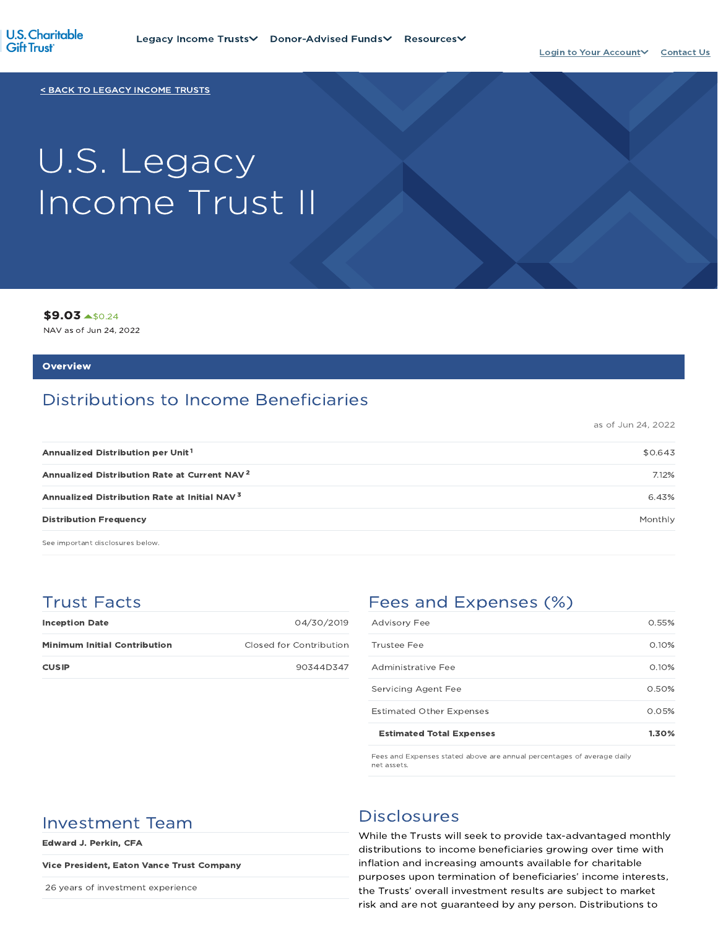

< BACK TO LEGACY INCOME TRUSTS

# U.S. Legacy Income Trust II

\$9.03 \$0.24

NAV as of Jun 24, 2022

#### **Overview**

## Distributions to Income Beneficiaries

as of Jun 24, 2022

| \$0.643 |
|---------|
| 7.12%   |
| 6.43%   |
| Monthly |
|         |

See important disclosures below.

## Trust Facts

| <b>Inception Date</b>               | 04/30/2019              |
|-------------------------------------|-------------------------|
| <b>Minimum Initial Contribution</b> | Closed for Contribution |
| <b>CUSIP</b>                        | 90344D347               |

## Fees and Expenses (%)

| <b>Estimated Total Expenses</b> | 1.30% |
|---------------------------------|-------|
| <b>Estimated Other Expenses</b> | 0.05% |
| Servicing Agent Fee             | 0.50% |
| Administrative Fee              | 0.10% |
| Trustee Fee                     | 0.10% |
| <b>Advisory Fee</b>             | 0.55% |

Fees and Expenses stated above are annual percentages of average daily net assets.

## Investment Team Disclosures

Edward J. Perkin, CFA

#### Vice President, Eaton Vance Trust Company

26 years of investment experience

While the Trusts will seek to provide tax-advantaged monthly distributions to income beneficiaries growing over time with inflation and increasing amounts available for charitable purposes upon termination of beneficiaries' income interests, the Trusts' overall investment results are subject to market risk and are not guaranteed by any person. Distributions to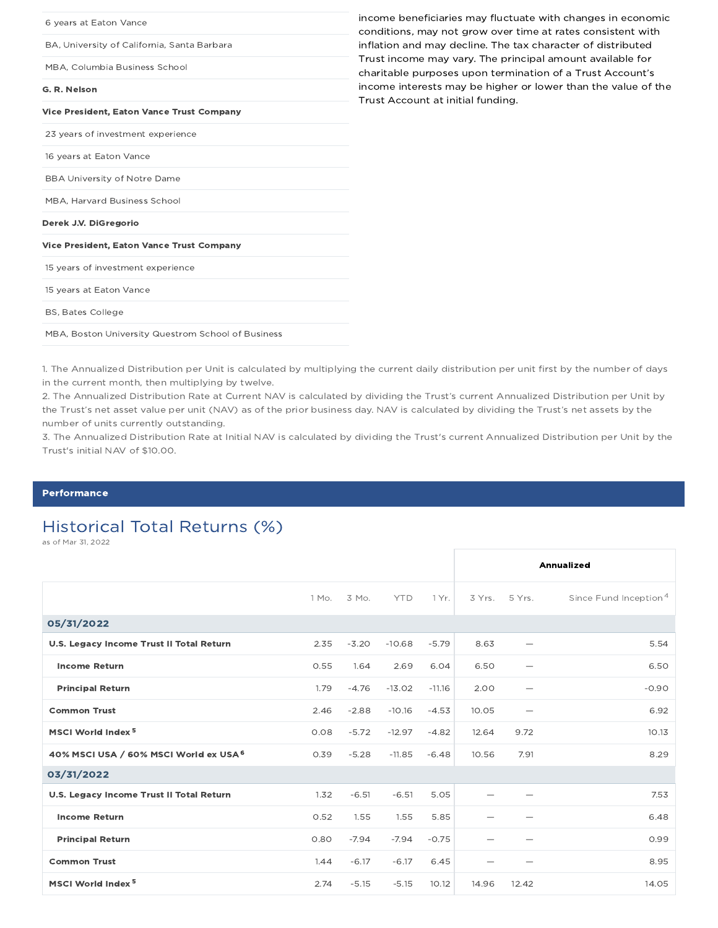| income beneficiaries may fluctuate with changes in economic<br>conditions, may not grow over time at rates consistent with |
|----------------------------------------------------------------------------------------------------------------------------|
| inflation and may decline. The tax character of distributed                                                                |
| Trust income may vary. The principal amount available for<br>charitable purposes upon termination of a Trust Account's     |
| income interests may be higher or lower than the value of the<br>Trust Account at initial funding.                         |
|                                                                                                                            |
|                                                                                                                            |
|                                                                                                                            |
|                                                                                                                            |
|                                                                                                                            |
|                                                                                                                            |
|                                                                                                                            |
|                                                                                                                            |
|                                                                                                                            |
|                                                                                                                            |
|                                                                                                                            |
|                                                                                                                            |

1. The Annualized Distribution per Unit is calculated by multiplying the current daily distribution per unit first by the number of days in the current month, then multiplying by twelve.

2. The Annualized Distribution Rate at Current NAV is calculated by dividing the Trust's current Annualized Distribution per Unit by the Trust's net asset value per unit (NAV) as of the prior business day. NAV is calculated by dividing the Trust's net assets by the number of units currently outstanding.

3. The Annualized Distribution Rate at Initial NAV is calculated by dividing the Trust's current Annualized Distribution per Unit by the Trust's initial NAV of \$10.00.

#### **Performance**

## Historical Total Returns (%)

as of Mar 31, 2022

|                                          |       |         |            |          |       |                          | Annualized                        |
|------------------------------------------|-------|---------|------------|----------|-------|--------------------------|-----------------------------------|
|                                          | 1 Mo. | 3 Mo.   | <b>YTD</b> | 1 Yr.    |       | 3 Yrs. 5 Yrs.            | Since Fund Inception <sup>4</sup> |
| 05/31/2022                               |       |         |            |          |       |                          |                                   |
| U.S. Legacy Income Trust II Total Return | 2.35  | $-3.20$ | $-10.68$   | $-5.79$  | 8.63  |                          | 5.54                              |
| <b>Income Return</b>                     | 0.55  | 1.64    | 2.69       | 6.04     | 6.50  | $\overline{\phantom{0}}$ | 6.50                              |
| <b>Principal Return</b>                  | 1.79  | $-4.76$ | $-13.02$   | $-11.16$ | 2.00  |                          | $-0.90$                           |
| <b>Common Trust</b>                      | 2.46  | $-2.88$ | $-10.16$   | $-4.53$  | 10.05 | $\overline{\phantom{0}}$ | 6.92                              |
| MSCI World Index <sup>5</sup>            | 0.08  | $-5.72$ | $-12.97$   | $-4.82$  | 12.64 | 9.72                     | 10.13                             |
| 40% MSCI USA / 60% MSCI World ex USA 6   | 0.39  | $-5.28$ | $-11.85$   | $-6.48$  | 10.56 | 7.91                     | 8.29                              |
| 03/31/2022                               |       |         |            |          |       |                          |                                   |
| U.S. Legacy Income Trust II Total Return | 1.32  | $-6.51$ | $-6.51$    | 5.05     |       |                          | 7.53                              |
| <b>Income Return</b>                     | 0.52  | 1.55    | 1.55       | 5.85     |       |                          | 6.48                              |
| <b>Principal Return</b>                  | 0.80  | $-7.94$ | $-7.94$    | $-0.75$  |       |                          | 0.99                              |
| <b>Common Trust</b>                      | 1.44  | $-6.17$ | $-6.17$    | 6.45     |       |                          | 8.95                              |
| MSCI World Index <sup>5</sup>            | 2.74  | $-5.15$ | $-5.15$    | 10.12    | 14.96 | 12.42                    | 14.05                             |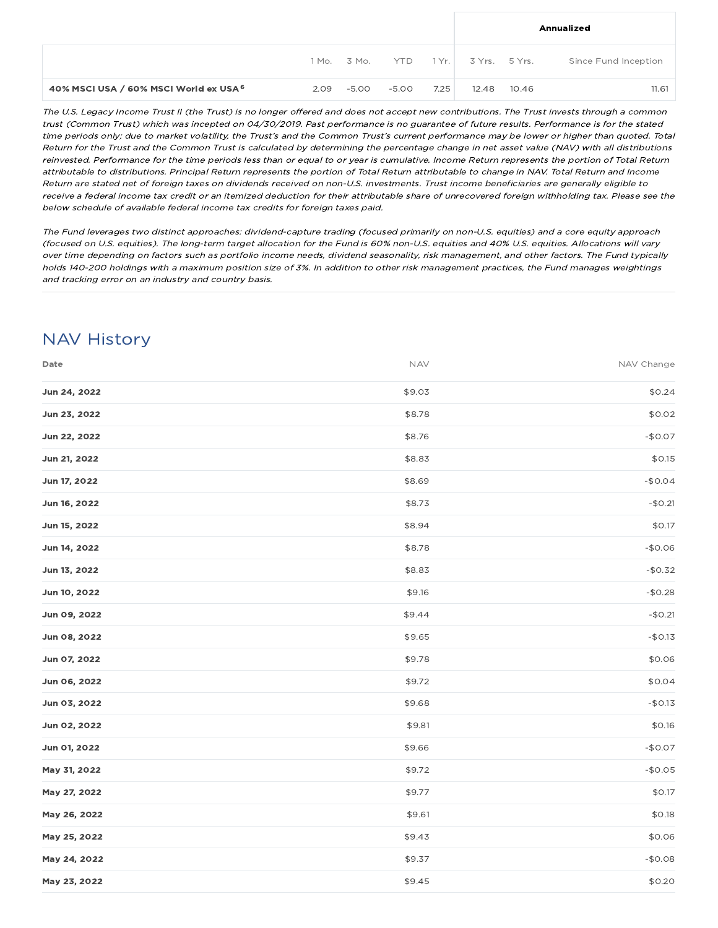|                                        |                 |       |      |                     |       | Annualized           |
|----------------------------------------|-----------------|-------|------|---------------------|-------|----------------------|
|                                        | 1 Mo. 3 Mo. YTD |       |      | 1 Yr. 3 Yrs. 5 Yrs. |       | Since Fund Inception |
| 40% MSCI USA / 60% MSCI World ex USA 6 | $2.09 - 5.00$   | -5.00 | 7.25 | 12.48               | 10.46 | 11.61                |

The U.S. Legacy Income Trust II (the Trust) is no longer offered and does not accept new contributions. The Trust invests through <sup>a</sup> common trust (Common Trust) which was incepted on 04/30/2019. Past performance is no guarantee of future results. Performance is for the stated time periods only; due to market volatility, the Trust's and the Common Trust's current performance may be lower or higher than quoted. Total Return for the Trust and the Common Trust is calculated by determining the percentage change in net asset value (NAV) with all distributions reinvested. Performance for the time periods less than or equal to or year is cumulative. Income Return represents the portion of Total Return attributable to distributions. Principal Return represents the portion of Total Return attributable to change in NAV. Total Return and Income Return are stated net of foreign taxes on dividends received on non-U.S. investments. Trust income beneficiaries are generally eligible to receive <sup>a</sup> federal income tax credit or an itemized deduction for their attributable share of unrecovered foreign withholding tax. Please see the below schedule of available federal income tax credits for foreign taxes paid.

The Fund leverages two distinct approaches: dividend-capture trading (focused primarily on non-U.S. equities) and <sup>a</sup> core equity approach (focused on U.S. equities). The long-term target allocation for the Fund is 60% non-U.S. equities and 40% U.S. equities. Allocations will vary over time depending on factors such as portfolio income needs, dividend seasonality, risk management, and other factors. The Fund typically holds 140-200 holdings with <sup>a</sup> maximum position size of 3%. In addition to other risk management practices, the Fund manages weightings and tracking error on an industry and country basis.

## NAV History

| Date         | <b>NAV</b> | NAV Change |
|--------------|------------|------------|
| Jun 24, 2022 | \$9.03     | \$0.24     |
| Jun 23, 2022 | \$8.78     | \$0.02     |
| Jun 22, 2022 | \$8.76     | $-$0.07$   |
| Jun 21, 2022 | \$8.83     | \$0.15     |
| Jun 17, 2022 | \$8.69     | $-$0.04$   |
| Jun 16, 2022 | \$8.73     | $-$0.21$   |
| Jun 15, 2022 | \$8.94     | \$0.17     |
| Jun 14, 2022 | \$8.78     | $-$0.06$   |
| Jun 13, 2022 | \$8.83     | $-$0.32$   |
| Jun 10, 2022 | \$9.16     | $-$0.28$   |
| Jun 09, 2022 | \$9.44     | $-$0.21$   |
| Jun 08, 2022 | \$9.65     | $-$0.13$   |
| Jun 07, 2022 | \$9.78     | \$0.06     |
| Jun 06, 2022 | \$9.72     | \$0.04     |
| Jun 03, 2022 | \$9.68     | $-$0.13$   |
| Jun 02, 2022 | \$9.81     | \$0.16     |
| Jun 01, 2022 | \$9.66     | $-$0.07$   |
| May 31, 2022 | \$9.72     | $-$0.05$   |
| May 27, 2022 | \$9.77     | \$0.17     |
| May 26, 2022 | \$9.61     | \$0.18     |
| May 25, 2022 | \$9.43     | \$0.06     |
| May 24, 2022 | \$9.37     | $-$0.08$   |
| May 23, 2022 | \$9.45     | \$0.20     |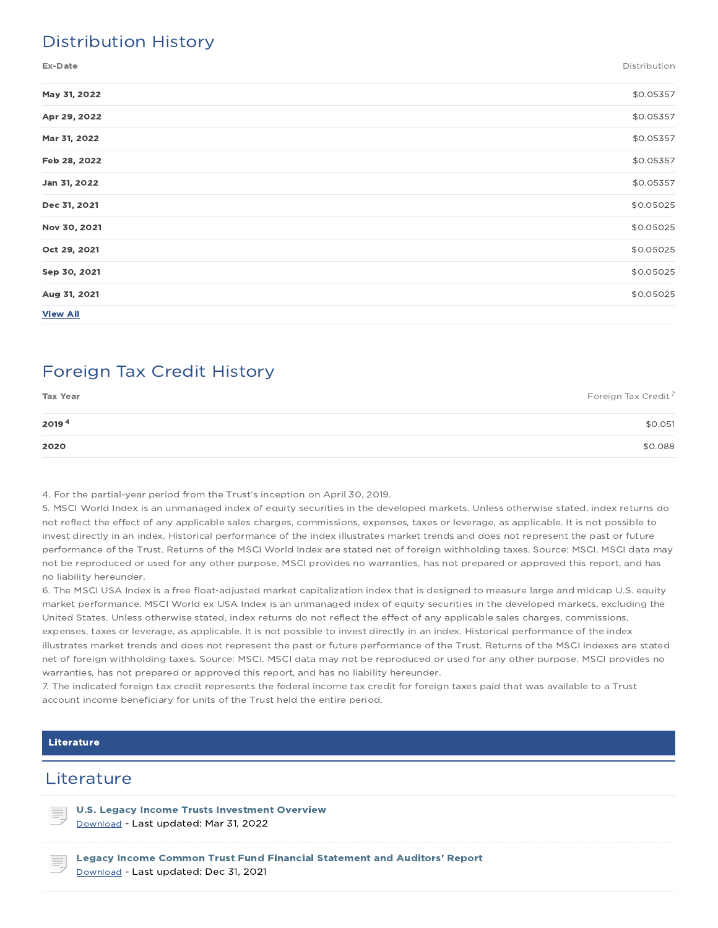## Distribution History

Ex-Date Distribution

| May 31, 2022    | \$0.05357 |
|-----------------|-----------|
| Apr 29, 2022    | \$0.05357 |
| Mar 31, 2022    | \$0.05357 |
| Feb 28, 2022    | \$0.05357 |
| Jan 31, 2022    | \$0.05357 |
| Dec 31, 2021    | \$0.05025 |
| Nov 30, 2021    | \$0.05025 |
| Oct 29, 2021    | \$0.05025 |
| Sep 30, 2021    | \$0.05025 |
| Aug 31, 2021    | \$0.05025 |
| <b>View All</b> |           |

## Foreign Tax Credit History

| <b>Tax Year</b> | Foreign Tax Credit <sup>7</sup> |
|-----------------|---------------------------------|
| 20194           | \$0.051                         |
| 2020            | \$0.088                         |

4. For the partial-year period from the Trust's inception on April 30, 2019.

5. MSCI World Index is an unmanaged index of equity securities in the developed markets. Unless otherwise stated, index returns do not reflect the effect of any applicable sales charges, commissions, expenses, taxes or leverage, as applicable. It is not possible to invest directly in an index. Historical performance of the index illustrates market trends and does not represent the past or future performance of the Trust. Returns of the MSCI World Index are stated net of foreign withholding taxes. Source: MSCI. MSCI data may not be reproduced or used for any other purpose. MSCI provides no warranties, has not prepared or approved this report, and has no liability hereunder.

6. The MSCI USA Index is a free float-adjusted market capitalization index that is designed to measure large and midcap U.S. equity market performance. MSCI World ex USA Index is an unmanaged index of equity securities in the developed markets, excluding the United States. Unless otherwise stated, index returns do not reflect the effect of any applicable sales charges, commissions, expenses, taxes or leverage, as applicable. It is not possible to invest directly in an index. Historical performance of the index illustrates market trends and does not represent the past or future performance of the Trust. Returns of the MSCI indexes are stated net of foreign withholding taxes. Source: MSCI. MSCI data may not be reproduced or used for any other purpose. MSCI provides no warranties, has not prepared or approved this report, and has no liability hereunder.

7. The indicated foreign tax credit represents the federal income tax credit for foreign taxes paid that was available to a Trust account income beneficiary for units of the Trust held the entire period.

#### Literature

### **Literature**

U.S. Legacy Income Trusts Investment Overview Download - Last updated: Mar 31, 2022

Legacy Income Common Trust Fund Financial Statement and Auditors' Report Download - Last updated: Dec 31, 2021